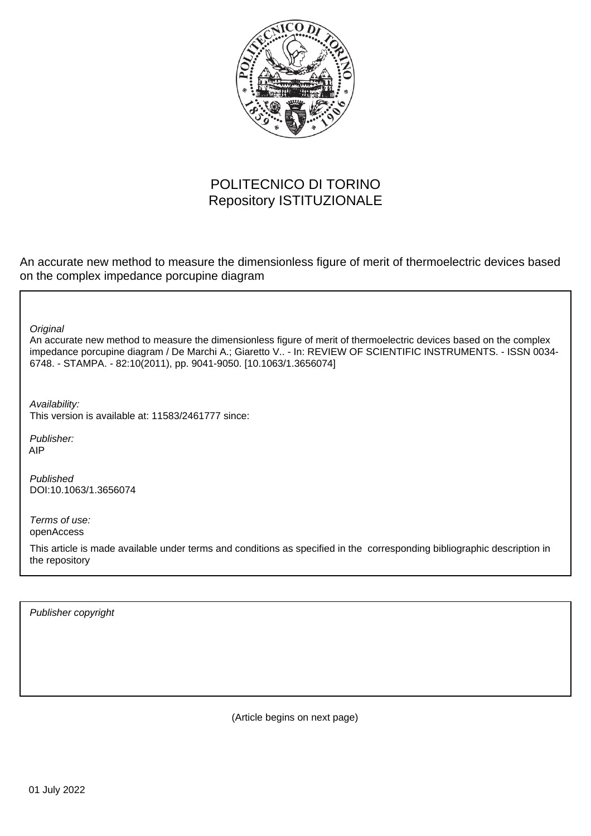

# POLITECNICO DI TORINO Repository ISTITUZIONALE

An accurate new method to measure the dimensionless figure of merit of thermoelectric devices based on the complex impedance porcupine diagram

**Original** 

An accurate new method to measure the dimensionless figure of merit of thermoelectric devices based on the complex impedance porcupine diagram / De Marchi A.; Giaretto V.. - In: REVIEW OF SCIENTIFIC INSTRUMENTS. - ISSN 0034- 6748. - STAMPA. - 82:10(2011), pp. 9041-9050. [10.1063/1.3656074]

Availability: This version is available at: 11583/2461777 since:

Publisher: AIP

Published DOI:10.1063/1.3656074

Terms of use: openAccess

This article is made available under terms and conditions as specified in the corresponding bibliographic description in the repository

Publisher copyright

(Article begins on next page)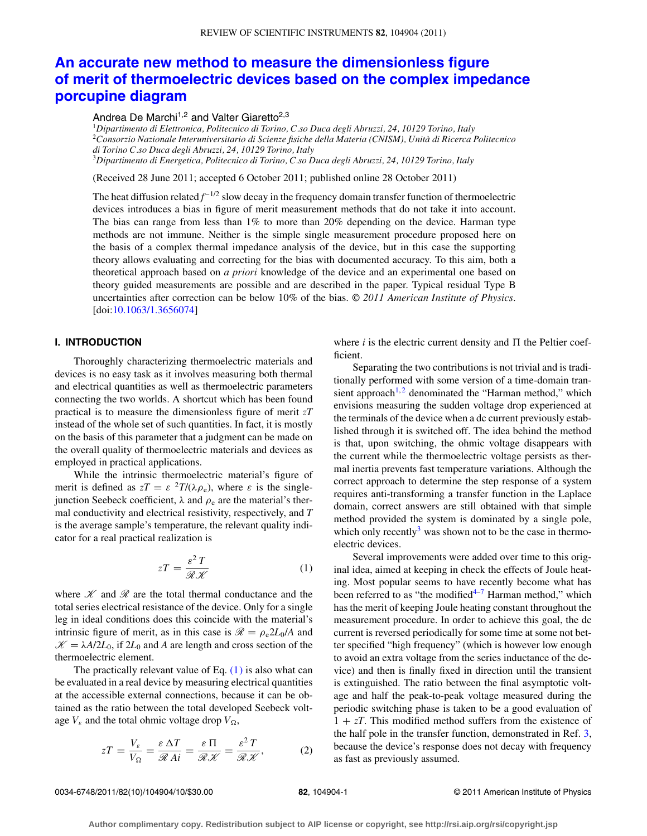## **[An accurate new method to measure the dimensionless figure](http://dx.doi.org/10.1063/1.3656074) [of merit of thermoelectric devices based on the complex impedance](http://dx.doi.org/10.1063/1.3656074) [porcupine diagram](http://dx.doi.org/10.1063/1.3656074)**

Andrea De Marchi<sup>1,2</sup> and Valter Giaretto<sup>2,3</sup>

*Dipartimento di Elettronica, Politecnico di Torino, C.so Duca degli Abruzzi, 24, 10129 Torino, Italy Consorzio Nazionale Interuniversitario di Scienze fisiche della Materia (CNISM), Unità di Ricerca Politecnico di Torino C.so Duca degli Abruzzi, 24, 10129 Torino, Italy Dipartimento di Energetica, Politecnico di Torino, C.so Duca degli Abruzzi, 24, 10129 Torino, Italy*

(Received 28 June 2011; accepted 6 October 2011; published online 28 October 2011)

The heat diffusion related  $f^{-1/2}$  slow decay in the frequency domain transfer function of thermoelectric devices introduces a bias in figure of merit measurement methods that do not take it into account. The bias can range from less than 1% to more than 20% depending on the device. Harman type methods are not immune. Neither is the simple single measurement procedure proposed here on the basis of a complex thermal impedance analysis of the device, but in this case the supporting theory allows evaluating and correcting for the bias with documented accuracy. To this aim, both a theoretical approach based on *a priori* knowledge of the device and an experimental one based on theory guided measurements are possible and are described in the paper. Typical residual Type B uncertainties after correction can be below 10% of the bias. *© 2011 American Institute of Physics*. [doi[:10.1063/1.3656074\]](http://dx.doi.org/10.1063/1.3656074)

## **I. INTRODUCTION**

Thoroughly characterizing thermoelectric materials and devices is no easy task as it involves measuring both thermal and electrical quantities as well as thermoelectric parameters connecting the two worlds. A shortcut which has been found practical is to measure the dimensionless figure of merit *zT* instead of the whole set of such quantities. In fact, it is mostly on the basis of this parameter that a judgment can be made on the overall quality of thermoelectric materials and devices as employed in practical applications.

While the intrinsic thermoelectric material's figure of merit is defined as  $zT = \varepsilon^2 T/(\lambda \rho_e)$ , where  $\varepsilon$  is the singlejunction Seebeck coefficient,  $\lambda$  and  $\rho_e$  are the material's thermal conductivity and electrical resistivity, respectively, and *T* is the average sample's temperature, the relevant quality indicator for a real practical realization is

$$
zT = \frac{\varepsilon^2 T}{\mathcal{R}\mathcal{K}}\tag{1}
$$

where  $K$  and  $R$  are the total thermal conductance and the total series electrical resistance of the device. Only for a single leg in ideal conditions does this coincide with the material's intrinsic figure of merit, as in this case is  $\mathcal{R} = \rho_e 2L_0/A$  and  $K = \lambda A/2L_0$ , if  $2L_0$  and A are length and cross section of the thermoelectric element.

The practically relevant value of Eq.  $(1)$  is also what can be evaluated in a real device by measuring electrical quantities at the accessible external connections, because it can be obtained as the ratio between the total developed Seebeck voltage  $V_{\varepsilon}$  and the total ohmic voltage drop  $V_{\Omega}$ ,

$$
zT = \frac{V_{\varepsilon}}{V_{\Omega}} = \frac{\varepsilon \Delta T}{\mathcal{R} A i} = \frac{\varepsilon \Pi}{\mathcal{R} \mathcal{K}} = \frac{\varepsilon^2 T}{\mathcal{R} \mathcal{K}},\tag{2}
$$

where  $i$  is the electric current density and  $\Pi$  the Peltier coefficient.

Separating the two contributions is not trivial and is traditionally performed with some version of a time-domain transient approach<sup>1,2</sup> denominated the "Harman method," which envisions measuring the sudden voltage drop experienced at the terminals of the device when a dc current previously established through it is switched off. The idea behind the method is that, upon switching, the ohmic voltage disappears with the current while the thermoelectric voltage persists as thermal inertia prevents fast temperature variations. Although the correct approach to determine the step response of a system requires anti-transforming a transfer function in the Laplace domain, correct answers are still obtained with that simple method provided the system is dominated by a single pole, which only recently<sup>3</sup> was shown not to be the case in thermoelectric devices.

Several improvements were added over time to this original idea, aimed at keeping in check the effects of Joule heating. Most popular seems to have recently become what has been referred to as "the modified $4-7$  Harman method," which has the merit of keeping Joule heating constant throughout the measurement procedure. In order to achieve this goal, the dc current is reversed periodically for some time at some not better specified "high frequency" (which is however low enough to avoid an extra voltage from the series inductance of the device) and then is finally fixed in direction until the transient is extinguished. The ratio between the final asymptotic voltage and half the peak-to-peak voltage measured during the periodic switching phase is taken to be a good evaluation of 1 + *zT*. This modified method suffers from the existence of the half pole in the transfer function, demonstrated in Ref. 3, because the device's response does not decay with frequency as fast as previously assumed.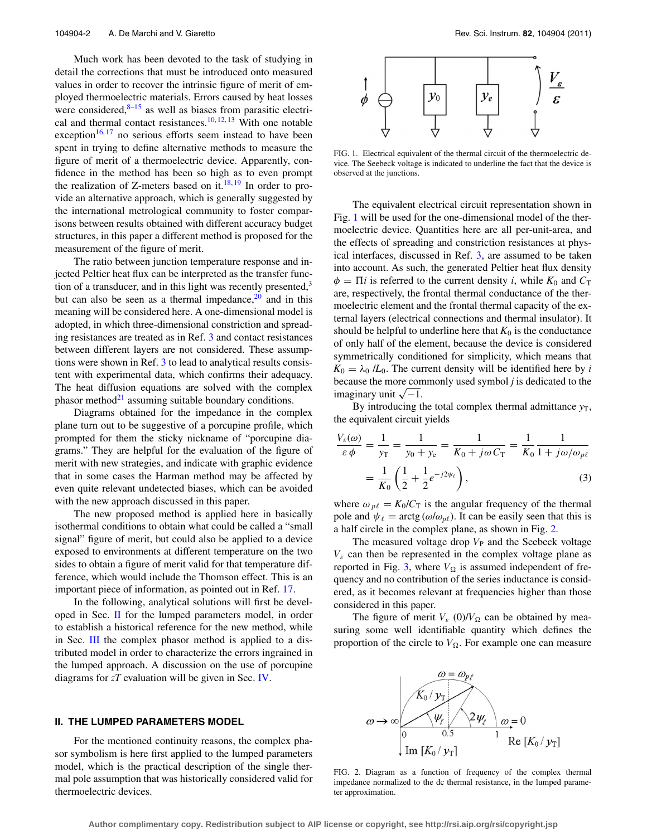Much work has been devoted to the task of studying in detail the corrections that must be introduced onto measured values in order to recover the intrinsic figure of merit of employed thermoelectric materials. Errors caused by heat losses were considered, $8-15$  as well as biases from parasitic electrical and thermal contact resistances.<sup>10, 12, 13</sup> With one notable exception $16, 17$  no serious efforts seem instead to have been spent in trying to define alternative methods to measure the figure of merit of a thermoelectric device. Apparently, confidence in the method has been so high as to even prompt the realization of Z-meters based on it. $18, 19$  In order to provide an alternative approach, which is generally suggested by the international metrological community to foster comparisons between results obtained with different accuracy budget structures, in this paper a different method is proposed for the measurement of the figure of merit.

The ratio between junction temperature response and injected Peltier heat flux can be interpreted as the transfer function of a transducer, and in this light was recently presented, $3$ but can also be seen as a thermal impedance, $2<sup>0</sup>$  and in this meaning will be considered here. A one-dimensional model is adopted, in which three-dimensional constriction and spreading resistances are treated as in Ref. 3 and contact resistances between different layers are not considered. These assumptions were shown in Ref. 3 to lead to analytical results consistent with experimental data, which confirms their adequacy. The heat diffusion equations are solved with the complex phasor method $^{21}$  assuming suitable boundary conditions.

Diagrams obtained for the impedance in the complex plane turn out to be suggestive of a porcupine profile, which prompted for them the sticky nickname of "porcupine diagrams." They are helpful for the evaluation of the figure of merit with new strategies, and indicate with graphic evidence that in some cases the Harman method may be affected by even quite relevant undetected biases, which can be avoided with the new approach discussed in this paper.

The new proposed method is applied here in basically isothermal conditions to obtain what could be called a "small signal" figure of merit, but could also be applied to a device exposed to environments at different temperature on the two sides to obtain a figure of merit valid for that temperature difference, which would include the Thomson effect. This is an important piece of information, as pointed out in Ref. 17.

In the following, analytical solutions will first be developed in Sec. II for the lumped parameters model, in order to establish a historical reference for the new method, while in Sec. III the complex phasor method is applied to a distributed model in order to characterize the errors ingrained in the lumped approach. A discussion on the use of porcupine diagrams for *zT* evaluation will be given in Sec. IV.

## **II. THE LUMPED PARAMETERS MODEL**

For the mentioned continuity reasons, the complex phasor symbolism is here first applied to the lumped parameters model, which is the practical description of the single thermal pole assumption that was historically considered valid for thermoelectric devices.



FIG. 1. Electrical equivalent of the thermal circuit of the thermoelectric device. The Seebeck voltage is indicated to underline the fact that the device is observed at the junctions.

The equivalent electrical circuit representation shown in Fig. 1 will be used for the one-dimensional model of the thermoelectric device. Quantities here are all per-unit-area, and the effects of spreading and constriction resistances at physical interfaces, discussed in Ref. 3, are assumed to be taken into account. As such, the generated Peltier heat flux density  $\phi = \Pi i$  is referred to the current density *i*, while  $K_0$  and  $C_T$ are, respectively, the frontal thermal conductance of the thermoelectric element and the frontal thermal capacity of the external layers (electrical connections and thermal insulator). It should be helpful to underline here that  $K_0$  is the conductance of only half of the element, because the device is considered symmetrically conditioned for simplicity, which means that  $K_0 = \lambda_0 / L_0$ . The current density will be identified here by *i* because the more commonly used symbol *j* is dedicated to the imaginary unit  $\sqrt{-1}$ .

By introducing the total complex thermal admittance  $y_T$ , the equivalent circuit yields

$$
\frac{V_{\varepsilon}(\omega)}{\varepsilon \phi} = \frac{1}{y_{\rm T}} = \frac{1}{y_0 + y_{\rm e}} = \frac{1}{K_0 + j\omega C_{\rm T}} = \frac{1}{K_0} \frac{1}{1 + j\omega/\omega_{p\ell}}
$$

$$
= \frac{1}{K_0} \left( \frac{1}{2} + \frac{1}{2} e^{-j2\psi_{\ell}} \right), \tag{3}
$$

where  $\omega_{p\ell} = K_0/C_T$  is the angular frequency of the thermal pole and  $\psi_{\ell} = \arctg(\omega/\omega_{p\ell})$ . It can be easily seen that this is a half circle in the complex plane, as shown in Fig. 2.

The measured voltage drop  $V_P$  and the Seebeck voltage  $V_{\varepsilon}$  can then be represented in the complex voltage plane as reported in Fig. 3, where  $V_{\Omega}$  is assumed independent of frequency and no contribution of the series inductance is considered, as it becomes relevant at frequencies higher than those considered in this paper.

The figure of merit  $V_{\varepsilon}$  (0)/ $V_{\Omega}$  can be obtained by measuring some well identifiable quantity which defines the proportion of the circle to  $V_{\Omega}$ . For example one can measure



FIG. 2. Diagram as a function of frequency of the complex thermal impedance normalized to the dc thermal resistance, in the lumped parameter approximation.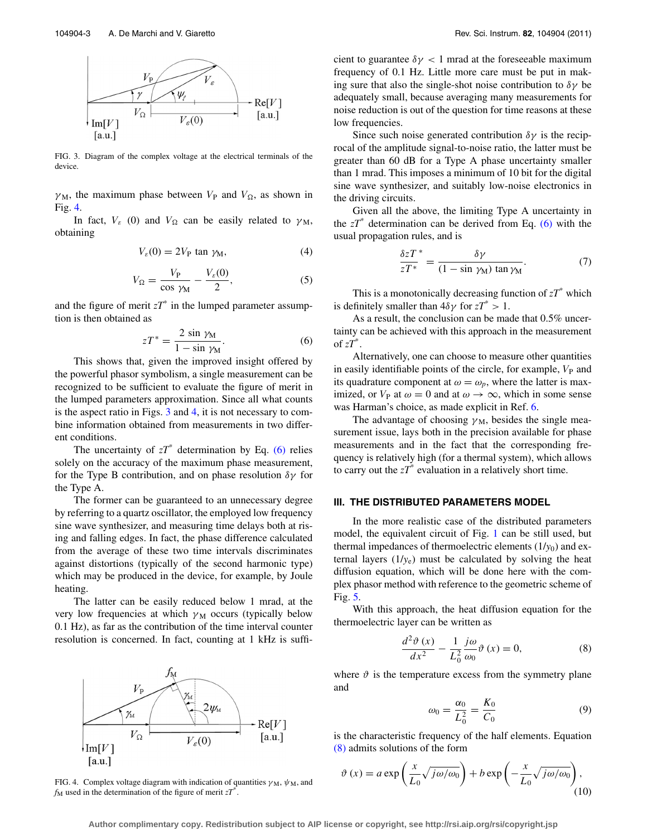

FIG. 3. Diagram of the complex voltage at the electrical terminals of the device.

 $\gamma_M$ , the maximum phase between  $V_P$  and  $V_\Omega$ , as shown in Fig. 4.

In fact,  $V_{\varepsilon}$  (0) and  $V_{\Omega}$  can be easily related to  $\gamma_{\text{M}}$ , obtaining

$$
V_{\varepsilon}(0) = 2V_{\rm P} \tan \gamma_{\rm M}, \tag{4}
$$

$$
V_{\Omega} = \frac{V_{\rm P}}{\cos \gamma_{\rm M}} - \frac{V_{\varepsilon}(0)}{2},\tag{5}
$$

and the figure of merit  $zT^*$  in the lumped parameter assumption is then obtained as

$$
zT^* = \frac{2\sin\gamma_M}{1 - \sin\gamma_M}.\tag{6}
$$

This shows that, given the improved insight offered by the powerful phasor symbolism, a single measurement can be recognized to be sufficient to evaluate the figure of merit in the lumped parameters approximation. Since all what counts is the aspect ratio in Figs. 3 and 4, it is not necessary to combine information obtained from measurements in two different conditions.

The uncertainty of  $zT^*$  determination by Eq. (6) relies solely on the accuracy of the maximum phase measurement, for the Type B contribution, and on phase resolution  $\delta \gamma$  for the Type A.

The former can be guaranteed to an unnecessary degree by referring to a quartz oscillator, the employed low frequency sine wave synthesizer, and measuring time delays both at rising and falling edges. In fact, the phase difference calculated from the average of these two time intervals discriminates against distortions (typically of the second harmonic type) which may be produced in the device, for example, by Joule heating.

The latter can be easily reduced below 1 mrad, at the very low frequencies at which  $\gamma_M$  occurs (typically below 0.1 Hz), as far as the contribution of the time interval counter resolution is concerned. In fact, counting at 1 kHz is suffi-



FIG. 4. Complex voltage diagram with indication of quantities  $\gamma_M$ ,  $\psi_M$ , and  $f_M$  used in the determination of the figure of merit  $zT^*$ .

cient to guarantee  $\delta \gamma$  < 1 mrad at the foreseeable maximum frequency of 0.1 Hz. Little more care must be put in making sure that also the single-shot noise contribution to  $\delta \gamma$  be adequately small, because averaging many measurements for noise reduction is out of the question for time reasons at these low frequencies.

Since such noise generated contribution  $\delta \gamma$  is the reciprocal of the amplitude signal-to-noise ratio, the latter must be greater than 60 dB for a Type A phase uncertainty smaller than 1 mrad. This imposes a minimum of 10 bit for the digital sine wave synthesizer, and suitably low-noise electronics in the driving circuits.

Given all the above, the limiting Type A uncertainty in the  $zT^*$  determination can be derived from Eq. (6) with the usual propagation rules, and is

$$
\frac{\delta z T^*}{z T^*} = \frac{\delta \gamma}{(1 - \sin \gamma_M) \tan \gamma_M}.
$$
 (7)

This is a monotonically decreasing function of  $zT^*$  which is definitely smaller than  $4\delta\gamma$  for  $zT^* > 1$ .

As a result, the conclusion can be made that 0.5% uncertainty can be achieved with this approach in the measurement of *zT*\*.

Alternatively, one can choose to measure other quantities in easily identifiable points of the circle, for example,  $V_{\rm P}$  and its quadrature component at  $\omega = \omega_p$ , where the latter is maximized, or  $V_P$  at  $\omega = 0$  and at  $\omega \to \infty$ , which in some sense was Harman's choice, as made explicit in Ref. 6.

The advantage of choosing  $\gamma_M$ , besides the single measurement issue, lays both in the precision available for phase measurements and in the fact that the corresponding frequency is relatively high (for a thermal system), which allows to carry out the *zT\** evaluation in a relatively short time.

#### **III. THE DISTRIBUTED PARAMETERS MODEL**

In the more realistic case of the distributed parameters model, the equivalent circuit of Fig. 1 can be still used, but thermal impedances of thermoelectric elements  $(1/y_0)$  and external layers  $(1/y_e)$  must be calculated by solving the heat diffusion equation, which will be done here with the complex phasor method with reference to the geometric scheme of Fig. 5.

With this approach, the heat diffusion equation for the thermoelectric layer can be written as

$$
\frac{d^2\vartheta(x)}{dx^2} - \frac{1}{L_0^2} \frac{j\omega}{\omega_0} \vartheta(x) = 0,
$$
 (8)

where  $\vartheta$  is the temperature excess from the symmetry plane and

$$
\omega_0 = \frac{\alpha_0}{L_0^2} = \frac{K_0}{C_0} \tag{9}
$$

is the characteristic frequency of the half elements. Equation (8) admits solutions of the form

$$
\vartheta(x) = a \exp\left(\frac{x}{L_0} \sqrt{j\omega/\omega_0}\right) + b \exp\left(-\frac{x}{L_0} \sqrt{j\omega/\omega_0}\right),\tag{10}
$$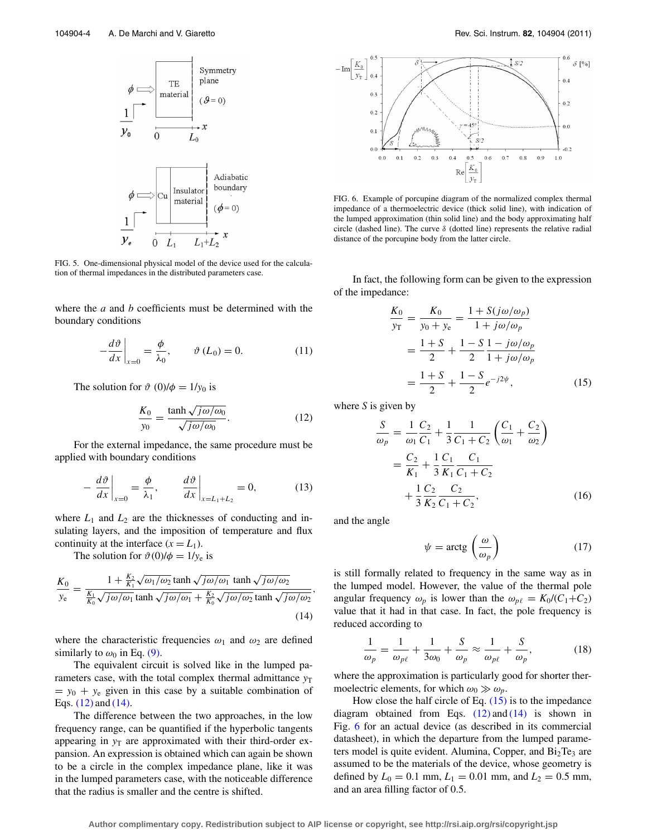

FIG. 5. One-dimensional physical model of the device used for the calculation of thermal impedances in the distributed parameters case.

where the *a* and *b* coefficients must be determined with the boundary conditions

$$
-\frac{d\vartheta}{dx}\bigg|_{x=0} = \frac{\phi}{\lambda_0}, \qquad \vartheta(L_0) = 0.
$$
 (11)

The solution for  $\vartheta$  (0)/ $\phi = 1/y_0$  is

$$
\frac{K_0}{y_0} = \frac{\tanh\sqrt{j\omega/\omega_0}}{\sqrt{j\omega/\omega_0}}.\tag{12}
$$

For the external impedance, the same procedure must be applied with boundary conditions

$$
-\left. \frac{d\vartheta}{dx} \right|_{x=0} = \frac{\varphi}{\lambda_1}, \qquad \left. \frac{d\vartheta}{dx} \right|_{x=L_1+L_2} = 0,\tag{13}
$$

where  $L_1$  and  $L_2$  are the thicknesses of conducting and insulating layers, and the imposition of temperature and flux continuity at the interface  $(x = L_1)$ .

The solution for  $\vartheta(0)/\phi = 1/y_e$  is

$$
\frac{K_0}{y_e} = \frac{1 + \frac{K_2}{K_1} \sqrt{\omega_1/\omega_2} \tanh \sqrt{j\omega/\omega_1} \tanh \sqrt{j\omega/\omega_2}}{\frac{K_1}{K_0} \sqrt{j\omega/\omega_1} \tanh \sqrt{j\omega/\omega_1} + \frac{K_2}{K_0} \sqrt{j\omega/\omega_2} \tanh \sqrt{j\omega/\omega_2}},
$$
\n(14)

where the characteristic frequencies  $\omega_1$  and  $\omega_2$  are defined similarly to  $\omega_0$  in Eq. (9).

The equivalent circuit is solved like in the lumped parameters case, with the total complex thermal admittance  $y_T$  $= y_0 + y_e$  given in this case by a suitable combination of Eqs. (12) and (14).

The difference between the two approaches, in the low frequency range, can be quantified if the hyperbolic tangents appearing in  $y_T$  are approximated with their third-order expansion. An expression is obtained which can again be shown to be a circle in the complex impedance plane, like it was in the lumped parameters case, with the noticeable difference that the radius is smaller and the centre is shifted.



FIG. 6. Example of porcupine diagram of the normalized complex thermal impedance of a thermoelectric device (thick solid line), with indication of the lumped approximation (thin solid line) and the body approximating half circle (dashed line). The curve  $\delta$  (dotted line) represents the relative radial distance of the porcupine body from the latter circle.

In fact, the following form can be given to the expression of the impedance:

$$
\frac{K_0}{y_T} = \frac{K_0}{y_0 + y_e} = \frac{1 + S(j\omega/\omega_p)}{1 + j\omega/\omega_p} \n= \frac{1 + S}{2} + \frac{1 - S}{2} \frac{1 - j\omega/\omega_p}{1 + j\omega/\omega_p} \n= \frac{1 + S}{2} + \frac{1 - S}{2} e^{-j2\psi},
$$
\n(15)

where *S* is given by

$$
\frac{S}{\omega_p} = \frac{1}{\omega_1} \frac{C_2}{C_1} + \frac{1}{3} \frac{1}{C_1 + C_2} \left( \frac{C_1}{\omega_1} + \frac{C_2}{\omega_2} \right)
$$

$$
= \frac{C_2}{K_1} + \frac{1}{3} \frac{C_1}{K_1} \frac{C_1}{C_1 + C_2}
$$

$$
+ \frac{1}{3} \frac{C_2}{K_2} \frac{C_2}{C_1 + C_2}, \tag{16}
$$

and the angle

$$
\psi = \arctg\left(\frac{\omega}{\omega_p}\right) \tag{17}
$$

is still formally related to frequency in the same way as in the lumped model. However, the value of the thermal pole angular frequency  $\omega_p$  is lower than the  $\omega_{p\ell} = K_0/(C_1+C_2)$ value that it had in that case. In fact, the pole frequency is reduced according to

$$
\frac{1}{\omega_p} = \frac{1}{\omega_{p\ell}} + \frac{1}{3\omega_0} + \frac{S}{\omega_p} \approx \frac{1}{\omega_{p\ell}} + \frac{S}{\omega_p},\tag{18}
$$

where the approximation is particularly good for shorter thermoelectric elements, for which  $\omega_0 \gg \omega_p$ .

How close the half circle of Eq.  $(15)$  is to the impedance diagram obtained from Eqs.  $(12)$  and  $(14)$  is shown in Fig. 6 for an actual device (as described in its commercial datasheet), in which the departure from the lumped parameters model is quite evident. Alumina, Copper, and  $Bi<sub>2</sub>Te<sub>3</sub>$  are assumed to be the materials of the device, whose geometry is defined by  $L_0 = 0.1$  mm,  $L_1 = 0.01$  mm, and  $L_2 = 0.5$  mm, and an area filling factor of 0.5.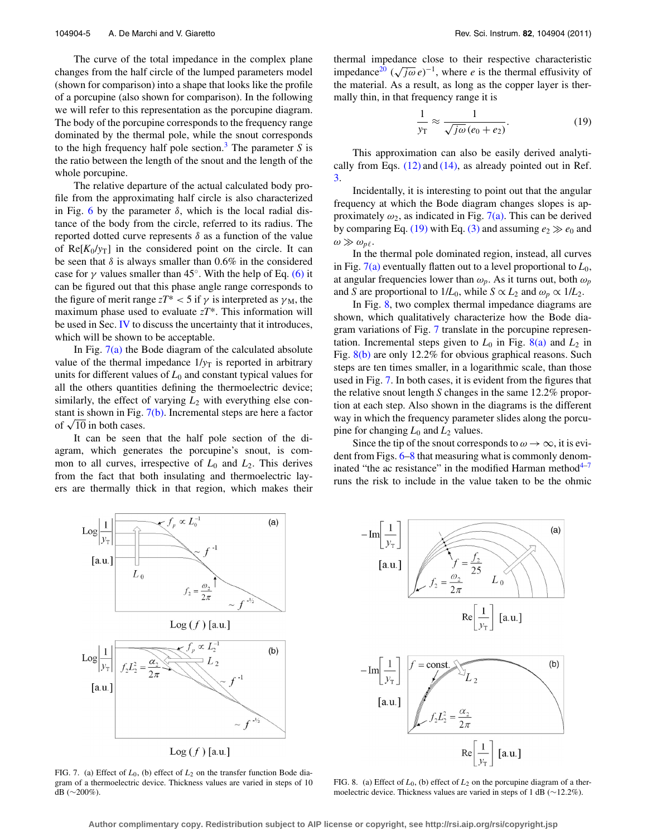The curve of the total impedance in the complex plane changes from the half circle of the lumped parameters model (shown for comparison) into a shape that looks like the profile of a porcupine (also shown for comparison). In the following we will refer to this representation as the porcupine diagram. The body of the porcupine corresponds to the frequency range dominated by the thermal pole, while the snout corresponds to the high frequency half pole section.<sup>3</sup> The parameter *S* is the ratio between the length of the snout and the length of the whole porcupine.

The relative departure of the actual calculated body profile from the approximating half circle is also characterized in Fig. 6 by the parameter  $\delta$ , which is the local radial distance of the body from the circle, referred to its radius. The reported dotted curve represents  $\delta$  as a function of the value of  $Re[K_0/y_T]$  in the considered point on the circle. It can be seen that  $\delta$  is always smaller than 0.6% in the considered case for  $\gamma$  values smaller than 45°. With the help of Eq. (6) it can be figured out that this phase angle range corresponds to the figure of merit range  $zT^*$  < 5 if  $\gamma$  is interpreted as  $\gamma_M$ , the maximum phase used to evaluate *zT*\*. This information will be used in Sec. IV to discuss the uncertainty that it introduces, which will be shown to be acceptable.

In Fig.  $7(a)$  the Bode diagram of the calculated absolute value of the thermal impedance  $1/y_T$  is reported in arbitrary units for different values of  $L_0$  and constant typical values for all the others quantities defining the thermoelectric device; similarly, the effect of varying  $L_2$  with everything else constant is shown in Fig. 7(b). Incremental steps are here a factor of  $\sqrt{10}$  in both cases.

It can be seen that the half pole section of the diagram, which generates the porcupine's snout, is common to all curves, irrespective of  $L_0$  and  $L_2$ . This derives from the fact that both insulating and thermoelectric layers are thermally thick in that region, which makes their thermal impedance close to their respective characteristic impedance<sup>20</sup>  $(\sqrt{j\omega}e)^{-1}$ , where *e* is the thermal effusivity of the material. As a result, as long as the copper layer is thermally thin, in that frequency range it is

$$
\frac{1}{y_{\rm T}} \approx \frac{1}{\sqrt{j\omega} (e_0 + e_2)}.
$$
\n(19)

This approximation can also be easily derived analytically from Eqs.  $(12)$  and  $(14)$ , as already pointed out in Ref. 3.

Incidentally, it is interesting to point out that the angular frequency at which the Bode diagram changes slopes is approximately  $\omega_2$ , as indicated in Fig. 7(a). This can be derived by comparing Eq. (19) with Eq. (3) and assuming  $e_2 \gg e_0$  and  $\omega \gg \omega_{p\ell}$ .

In the thermal pole dominated region, instead, all curves in Fig.  $7(a)$  eventually flatten out to a level proportional to  $L_0$ , at angular frequencies lower than  $\omega_p$ . As it turns out, both  $\omega_p$ and *S* are proportional to  $1/L_0$ , while  $S \propto L_2$  and  $\omega_p \propto 1/L_2$ .

In Fig. 8, two complex thermal impedance diagrams are shown, which qualitatively characterize how the Bode diagram variations of Fig. 7 translate in the porcupine representation. Incremental steps given to  $L_0$  in Fig.  $8(a)$  and  $L_2$  in Fig. 8(b) are only 12.2% for obvious graphical reasons. Such steps are ten times smaller, in a logarithmic scale, than those used in Fig. 7. In both cases, it is evident from the figures that the relative snout length *S* changes in the same 12.2% proportion at each step. Also shown in the diagrams is the different way in which the frequency parameter slides along the porcupine for changing  $L_0$  and  $L_2$  values.

Since the tip of the snout corresponds to  $\omega \to \infty$ , it is evident from Figs. 6–8 that measuring what is commonly denominated "the ac resistance" in the modified Harman method $4-7$ runs the risk to include in the value taken to be the ohmic



FIG. 7. (a) Effect of  $L_0$ , (b) effect of  $L_2$  on the transfer function Bode diagram of a thermoelectric device. Thickness values are varied in steps of 10 dB (∼200%).



FIG. 8. (a) Effect of  $L_0$ , (b) effect of  $L_2$  on the porcupine diagram of a thermoelectric device. Thickness values are varied in steps of 1 dB (∼12.2%).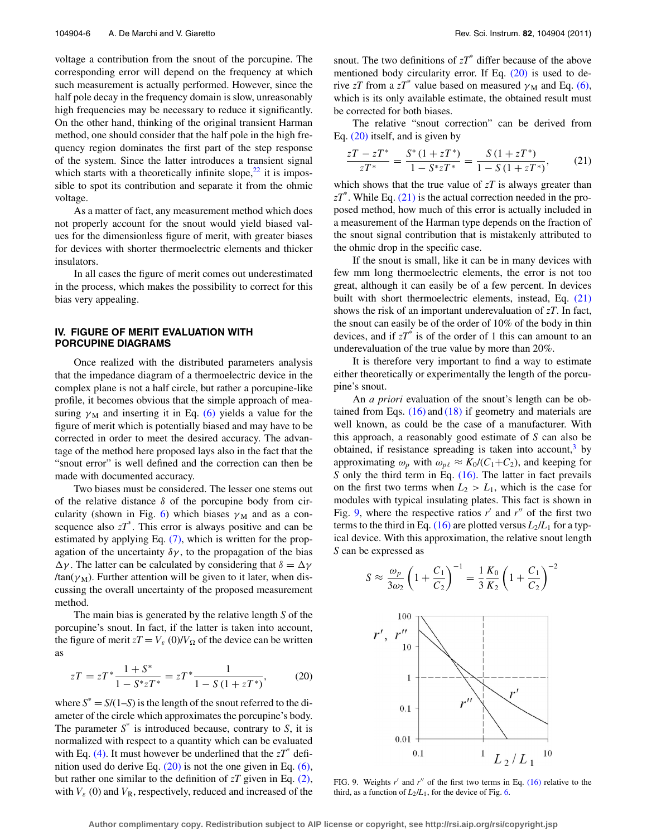voltage a contribution from the snout of the porcupine. The corresponding error will depend on the frequency at which such measurement is actually performed. However, since the half pole decay in the frequency domain is slow, unreasonably high frequencies may be necessary to reduce it significantly. On the other hand, thinking of the original transient Harman method, one should consider that the half pole in the high frequency region dominates the first part of the step response of the system. Since the latter introduces a transient signal which starts with a theoretically infinite slope, $2<sup>2</sup>$  it is impossible to spot its contribution and separate it from the ohmic voltage.

As a matter of fact, any measurement method which does not properly account for the snout would yield biased values for the dimensionless figure of merit, with greater biases for devices with shorter thermoelectric elements and thicker insulators.

In all cases the figure of merit comes out underestimated in the process, which makes the possibility to correct for this bias very appealing.

## **IV. FIGURE OF MERIT EVALUATION WITH PORCUPINE DIAGRAMS**

Once realized with the distributed parameters analysis that the impedance diagram of a thermoelectric device in the complex plane is not a half circle, but rather a porcupine-like profile, it becomes obvious that the simple approach of measuring  $\gamma_M$  and inserting it in Eq. (6) yields a value for the figure of merit which is potentially biased and may have to be corrected in order to meet the desired accuracy. The advantage of the method here proposed lays also in the fact that the "snout error" is well defined and the correction can then be made with documented accuracy.

Two biases must be considered. The lesser one stems out of the relative distance  $\delta$  of the porcupine body from circularity (shown in Fig. 6) which biases  $\gamma_M$  and as a consequence also  $zT^*$ . This error is always positive and can be estimated by applying Eq. (7), which is written for the propagation of the uncertainty  $\delta \gamma$ , to the propagation of the bias  $\Delta \gamma$ . The latter can be calculated by considering that  $\delta = \Delta \gamma$  $/tan(\gamma_M)$ . Further attention will be given to it later, when discussing the overall uncertainty of the proposed measurement method.

The main bias is generated by the relative length *S* of the porcupine's snout. In fact, if the latter is taken into account, the figure of merit  $zT = V_{\varepsilon}$  (0)/ $V_{\Omega}$  of the device can be written as

$$
zT = zT^* \frac{1 + S^*}{1 - S^* zT^*} = zT^* \frac{1}{1 - S(1 + zT^*)},
$$
(20)

where  $S^* = S/(1-S)$  is the length of the snout referred to the diameter of the circle which approximates the porcupine's body. The parameter  $S^*$  is introduced because, contrary to  $S$ , it is normalized with respect to a quantity which can be evaluated with Eq. (4). It must however be underlined that the  $zT^*$  definition used do derive Eq. (20) is not the one given in Eq. (6), but rather one similar to the definition of *zT* given in Eq. (2), with *V*<sup>ε</sup> (0) and *V*R, respectively, reduced and increased of the

snout. The two definitions of *zT*\* differ because of the above mentioned body circularity error. If Eq. (20) is used to derive *zT* from a *zT*<sup>\*</sup> value based on measured  $\gamma_M$  and Eq. (6), which is its only available estimate, the obtained result must be corrected for both biases.

The relative "snout correction" can be derived from Eq. (20) itself, and is given by

$$
\frac{zT - zT^*}{zT^*} = \frac{S^*(1 + zT^*)}{1 - S^*zT^*} = \frac{S(1 + zT^*)}{1 - S(1 + zT^*)},\tag{21}
$$

which shows that the true value of  $zT$  is always greater than *zT\**. While Eq. (21) is the actual correction needed in the proposed method, how much of this error is actually included in a measurement of the Harman type depends on the fraction of the snout signal contribution that is mistakenly attributed to the ohmic drop in the specific case.

If the snout is small, like it can be in many devices with few mm long thermoelectric elements, the error is not too great, although it can easily be of a few percent. In devices built with short thermoelectric elements, instead, Eq. (21) shows the risk of an important underevaluation of *zT*. In fact, the snout can easily be of the order of 10% of the body in thin devices, and if  $zT^*$  is of the order of 1 this can amount to an underevaluation of the true value by more than 20%.

It is therefore very important to find a way to estimate either theoretically or experimentally the length of the porcupine's snout.

An *a priori* evaluation of the snout's length can be obtained from Eqs.  $(16)$  and  $(18)$  if geometry and materials are well known, as could be the case of a manufacturer. With this approach, a reasonably good estimate of *S* can also be obtained, if resistance spreading is taken into account, $3$  by approximating  $\omega_p$  with  $\omega_{p\ell} \approx K_0/(C_1+C_2)$ , and keeping for *S* only the third term in Eq. (16). The latter in fact prevails on the first two terms when  $L_2 > L_1$ , which is the case for modules with typical insulating plates. This fact is shown in Fig. 9, where the respective ratios  $r'$  and  $r''$  of the first two terms to the third in Eq. (16) are plotted versus  $L_2/L_1$  for a typical device. With this approximation, the relative snout length *S* can be expressed as

$$
S \approx \frac{\omega_p}{3\omega_2} \left( 1 + \frac{C_1}{C_2} \right)^{-1} = \frac{1}{3} \frac{K_0}{K_2} \left( 1 + \frac{C_1}{C_2} \right)^{-2}
$$



FIG. 9. Weights  $r'$  and  $r''$  of the first two terms in Eq. (16) relative to the third, as a function of  $L_2/L_1$ , for the device of Fig. 6.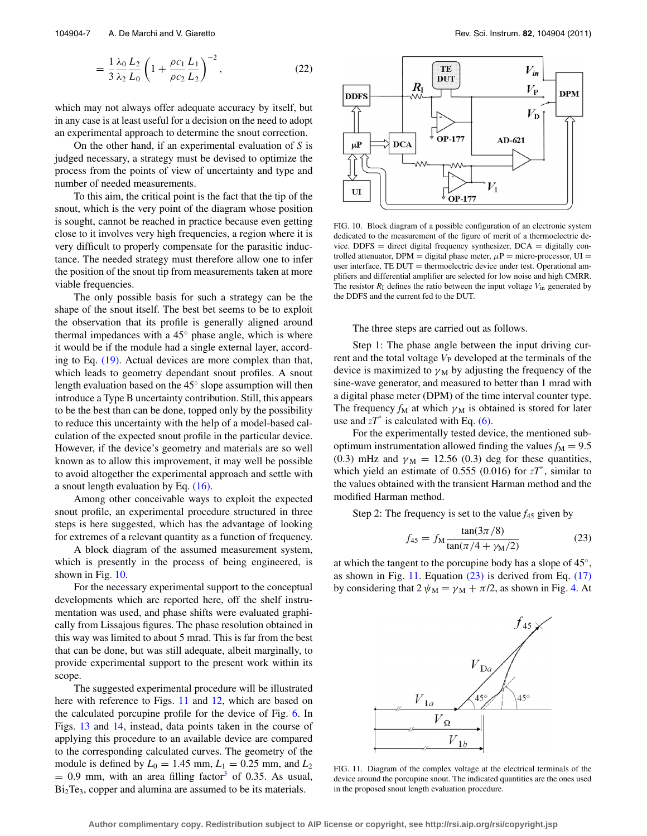$$
= \frac{1}{3} \frac{\lambda_0}{\lambda_2} \frac{L_2}{L_0} \left( 1 + \frac{\rho c_1}{\rho c_2} \frac{L_1}{L_2} \right)^{-2}, \tag{22}
$$

which may not always offer adequate accuracy by itself, but in any case is at least useful for a decision on the need to adopt an experimental approach to determine the snout correction.

On the other hand, if an experimental evaluation of *S* is judged necessary, a strategy must be devised to optimize the process from the points of view of uncertainty and type and number of needed measurements.

To this aim, the critical point is the fact that the tip of the snout, which is the very point of the diagram whose position is sought, cannot be reached in practice because even getting close to it involves very high frequencies, a region where it is very difficult to properly compensate for the parasitic inductance. The needed strategy must therefore allow one to infer the position of the snout tip from measurements taken at more viable frequencies.

The only possible basis for such a strategy can be the shape of the snout itself. The best bet seems to be to exploit the observation that its profile is generally aligned around thermal impedances with a  $45°$  phase angle, which is where it would be if the module had a single external layer, according to Eq. (19). Actual devices are more complex than that, which leads to geometry dependant snout profiles. A snout length evaluation based on the 45◦ slope assumption will then introduce a Type B uncertainty contribution. Still, this appears to be the best than can be done, topped only by the possibility to reduce this uncertainty with the help of a model-based calculation of the expected snout profile in the particular device. However, if the device's geometry and materials are so well known as to allow this improvement, it may well be possible to avoid altogether the experimental approach and settle with a snout length evaluation by Eq. (16).

Among other conceivable ways to exploit the expected snout profile, an experimental procedure structured in three steps is here suggested, which has the advantage of looking for extremes of a relevant quantity as a function of frequency.

A block diagram of the assumed measurement system, which is presently in the process of being engineered, is shown in Fig. 10.

For the necessary experimental support to the conceptual developments which are reported here, off the shelf instrumentation was used, and phase shifts were evaluated graphically from Lissajous figures. The phase resolution obtained in this way was limited to about 5 mrad. This is far from the best that can be done, but was still adequate, albeit marginally, to provide experimental support to the present work within its scope.

The suggested experimental procedure will be illustrated here with reference to Figs. 11 and 12, which are based on the calculated porcupine profile for the device of Fig. 6. In Figs. 13 and 14, instead, data points taken in the course of applying this procedure to an available device are compared to the corresponding calculated curves. The geometry of the module is defined by  $L_0 = 1.45$  mm,  $L_1 = 0.25$  mm, and  $L_2$  $= 0.9$  mm, with an area filling factor<sup>3</sup> of 0.35. As usual, Bi<sub>2</sub>Te<sub>3</sub>, copper and alumina are assumed to be its materials.



FIG. 10. Block diagram of a possible configuration of an electronic system dedicated to the measurement of the figure of merit of a thermoelectric device. DDFS = direct digital frequency synthesizer,  $DCA =$  digitally controlled attenuator, DPM = digital phase meter,  $\mu$ P = micro-processor, UI = user interface, TE DUT = thermoelectric device under test. Operational amplifiers and differential amplifier are selected for low noise and high CMRR. The resistor  $R_I$  defines the ratio between the input voltage  $V_{\text{in}}$  generated by the DDFS and the current fed to the DUT.

The three steps are carried out as follows.

Step 1: The phase angle between the input driving current and the total voltage  $V_P$  developed at the terminals of the device is maximized to  $\gamma_M$  by adjusting the frequency of the sine-wave generator, and measured to better than 1 mrad with a digital phase meter (DPM) of the time interval counter type. The frequency  $f_M$  at which  $\gamma_M$  is obtained is stored for later use and  $zT^*$  is calculated with Eq. (6).

For the experimentally tested device, the mentioned suboptimum instrumentation allowed finding the values  $f_M = 9.5$ (0.3) mHz and  $\gamma_M = 12.56$  (0.3) deg for these quantities, which yield an estimate of 0.555 (0.016) for *zT*\*, similar to the values obtained with the transient Harman method and the modified Harman method.

Step 2: The frequency is set to the value  $f_{45}$  given by

$$
f_{45} = f_{\rm M} \frac{\tan(3\pi/8)}{\tan(\pi/4 + \gamma_{\rm M}/2)}
$$
(23)

at which the tangent to the porcupine body has a slope of 45◦, as shown in Fig. 11. Equation  $(23)$  is derived from Eq.  $(17)$ by considering that  $2 \psi_M = \gamma_M + \pi/2$ , as shown in Fig. 4. At



FIG. 11. Diagram of the complex voltage at the electrical terminals of the device around the porcupine snout. The indicated quantities are the ones used in the proposed snout length evaluation procedure.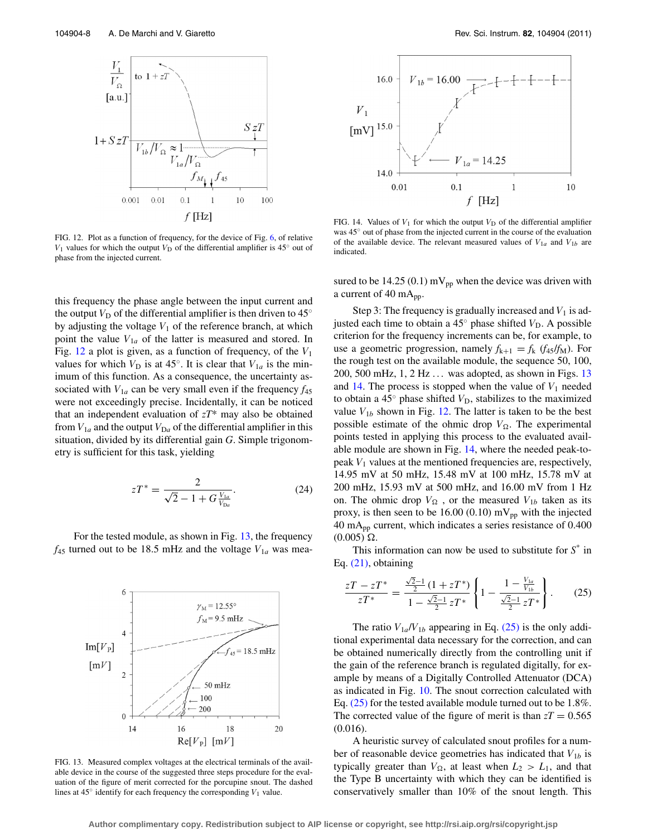

FIG. 12. Plot as a function of frequency, for the device of Fig. 6, of relative *V*<sub>1</sub> values for which the output *V*<sub>D</sub> of the differential amplifier is 45<sup>°</sup> out of phase from the injected current.

this frequency the phase angle between the input current and the output  $V_D$  of the differential amplifier is then driven to  $45^\circ$ by adjusting the voltage  $V_1$  of the reference branch, at which point the value  $V_{1a}$  of the latter is measured and stored. In Fig. 12 a plot is given, as a function of frequency, of the *V*<sup>1</sup> values for which  $V_D$  is at 45°. It is clear that  $V_{1a}$  is the minimum of this function. As a consequence, the uncertainty associated with  $V_{1a}$  can be very small even if the frequency  $f_{45}$ were not exceedingly precise. Incidentally, it can be noticed that an independent evaluation of *zT*\* may also be obtained from  $V_{1a}$  and the output  $V_{Da}$  of the differential amplifier in this situation, divided by its differential gain *G*. Simple trigonometry is sufficient for this task, yielding

$$
zT^* = \frac{2}{\sqrt{2} - 1 + G \frac{V_{1a}}{V_{Da}}}.
$$
 (24)

For the tested module, as shown in Fig. 13, the frequency  $f_{45}$  turned out to be 18.5 mHz and the voltage  $V_{1a}$  was mea-



FIG. 13. Measured complex voltages at the electrical terminals of the available device in the course of the suggested three steps procedure for the evaluation of the figure of merit corrected for the porcupine snout. The dashed lines at  $45^\circ$  identify for each frequency the corresponding  $V_1$  value.



FIG. 14. Values of  $V_1$  for which the output  $V_D$  of the differential amplifier was 45<sup>°</sup> out of phase from the injected current in the course of the evaluation of the available device. The relevant measured values of  $V_{1a}$  and  $V_{1b}$  are indicated.

sured to be 14.25 (0.1) mV<sub>pp</sub> when the device was driven with a current of 40 m $A_{pp}$ .

Step 3: The frequency is gradually increased and  $V_1$  is adjusted each time to obtain a 45<sup>°</sup> phase shifted *V*<sub>D</sub>. A possible criterion for the frequency increments can be, for example, to use a geometric progression, namely  $f_{k+1} = f_k$  ( $f_{45}/f_M$ ). For the rough test on the available module, the sequence 50, 100, 200, 500 mHz,  $1, 2$  Hz  $\ldots$  was adopted, as shown in Figs. 13 and 14. The process is stopped when the value of  $V_1$  needed to obtain a  $45^\circ$  phase shifted  $V_D$ , stabilizes to the maximized value  $V_{1b}$  shown in Fig. 12. The latter is taken to be the best possible estimate of the ohmic drop  $V_{\Omega}$ . The experimental points tested in applying this process to the evaluated available module are shown in Fig. 14, where the needed peak-topeak *V*<sup>1</sup> values at the mentioned frequencies are, respectively, 14.95 mV at 50 mHz, 15.48 mV at 100 mHz, 15.78 mV at 200 mHz, 15.93 mV at 500 mHz, and 16.00 mV from 1 Hz on. The ohmic drop  $V_{\Omega}$ , or the measured  $V_{1b}$  taken as its proxy, is then seen to be 16.00 (0.10) mV<sub>pp</sub> with the injected  $40 \text{ mA}_{\text{pp}}$  current, which indicates a series resistance of 0.400  $(0.005)$   $\Omega$ .

This information can now be used to substitute for *S*\* in Eq. (21), obtaining

$$
\frac{zT - zT^*}{zT^*} = \frac{\frac{\sqrt{2}-1}{2} (1 + zT^*)}{1 - \frac{\sqrt{2}-1}{2} zT^*} \left\{ 1 - \frac{1 - \frac{V_{1a}}{V_{1b}}}{\frac{\sqrt{2}-1}{2} zT^*} \right\}.
$$
 (25)

The ratio  $V_{1a}/V_{1b}$  appearing in Eq. (25) is the only additional experimental data necessary for the correction, and can be obtained numerically directly from the controlling unit if the gain of the reference branch is regulated digitally, for example by means of a Digitally Controlled Attenuator (DCA) as indicated in Fig. 10. The snout correction calculated with Eq. (25) for the tested available module turned out to be 1.8%. The corrected value of the figure of merit is than  $zT = 0.565$ (0.016).

A heuristic survey of calculated snout profiles for a number of reasonable device geometries has indicated that  $V_{1b}$  is typically greater than  $V_{\Omega}$ , at least when  $L_2 > L_1$ , and that the Type B uncertainty with which they can be identified is conservatively smaller than 10% of the snout length. This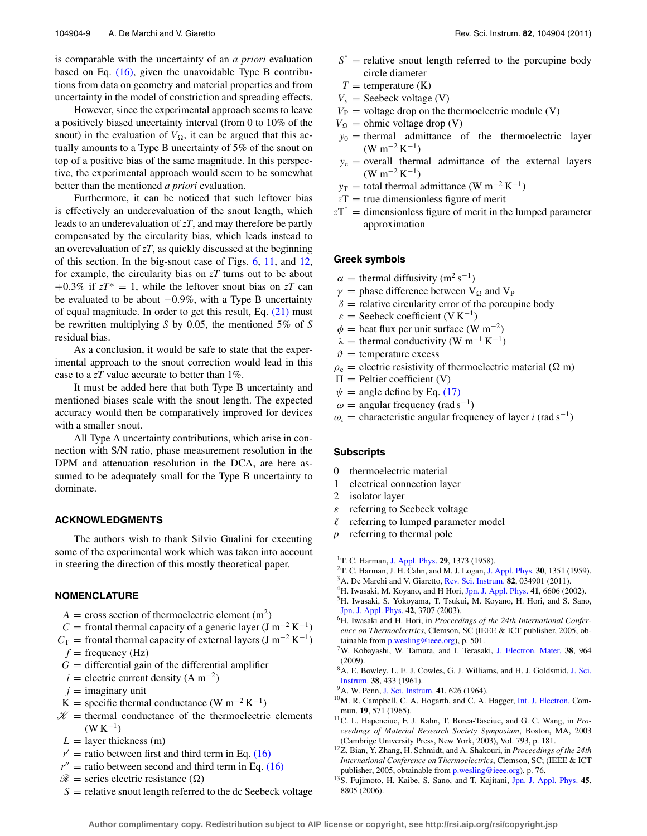is comparable with the uncertainty of an *a priori* evaluation based on Eq. (16), given the unavoidable Type B contributions from data on geometry and material properties and from uncertainty in the model of constriction and spreading effects.

However, since the experimental approach seems to leave a positively biased uncertainty interval (from 0 to 10% of the snout) in the evaluation of  $V_{\Omega}$ , it can be argued that this actually amounts to a Type B uncertainty of 5% of the snout on top of a positive bias of the same magnitude. In this perspective, the experimental approach would seem to be somewhat better than the mentioned *a priori* evaluation.

Furthermore, it can be noticed that such leftover bias is effectively an underevaluation of the snout length, which leads to an underevaluation of *zT*, and may therefore be partly compensated by the circularity bias, which leads instead to an overevaluation of *zT*, as quickly discussed at the beginning of this section. In the big-snout case of Figs. 6, 11, and 12, for example, the circularity bias on *zT* turns out to be about  $+0.3\%$  if  $zT^* = 1$ , while the leftover snout bias on  $zT$  can be evaluated to be about −0.9%, with a Type B uncertainty of equal magnitude. In order to get this result, Eq. (21) must be rewritten multiplying *S* by 0.05, the mentioned 5% of *S* residual bias.

As a conclusion, it would be safe to state that the experimental approach to the snout correction would lead in this case to a *zT* value accurate to better than 1%.

It must be added here that both Type B uncertainty and mentioned biases scale with the snout length. The expected accuracy would then be comparatively improved for devices with a smaller snout.

All Type A uncertainty contributions, which arise in connection with S/N ratio, phase measurement resolution in the DPM and attenuation resolution in the DCA, are here assumed to be adequately small for the Type B uncertainty to dominate.

#### **ACKNOWLEDGMENTS**

The authors wish to thank Silvio Gualini for executing some of the experimental work which was taken into account in steering the direction of this mostly theoretical paper.

## **NOMENCLATURE**

- $A = \text{cross section of thermoelectric element } (\text{m}^2)$
- $C =$  frontal thermal capacity of a generic layer (J m<sup>-2</sup> K<sup>-1</sup>)
- $C_T$  = frontal thermal capacity of external layers (J m<sup>-2</sup> K<sup>-1</sup>)
- $f$  = frequency (Hz)
- $G =$  differential gain of the differential amplifier
- $i =$  electric current density (A m<sup>-2</sup>)
- $j =$  imaginary unit
- K = specific thermal conductance (W m<sup>-2</sup> K<sup>-1</sup>)
- $K =$  thermal conductance of the thermoelectric elements  $(W K^{-1})$
- $L =$  layer thickness (m)
- $r'$  = ratio between first and third term in Eq. (16)
- $r''$  = ratio between second and third term in Eq. (16)
- $\mathcal{R}$  = series electric resistance ( $\Omega$ )
- $S =$  relative snout length referred to the dc Seebeck voltage
- $S^*$  = relative snout length referred to the porcupine body circle diameter
- $T =$  temperature  $(K)$
- $V_{\varepsilon}$  = Seebeck voltage (V)
- $V_P$  = voltage drop on the thermoelectric module (V)
- $V_{\Omega}$  = ohmic voltage drop (V)
- $y_0$  = thermal admittance of the thermoelectric layer  $(W m^{-2} K^{-1})$
- $y_e$  = overall thermal admittance of the external layers  $(W m^{-2} K^{-1})$
- $y_T$  = total thermal admittance (W m<sup>-2</sup> K<sup>-1</sup>)
- $zT$  = true dimensionless figure of merit
- $zT^*$  = dimensionless figure of merit in the lumped parameter approximation

### **Greek symbols**

- $\alpha$  = thermal diffusivity (m<sup>2</sup> s<sup>-1</sup>)
- $\gamma$  = phase difference between V<sub>Ω</sub> and V<sub>P</sub>
- $\delta$  = relative circularity error of the porcupine body
- $\varepsilon$  = Seebeck coefficient (V K<sup>-1</sup>)
- $\phi$  = heat flux per unit surface (W m<sup>-2</sup>)
- $\lambda$  = thermal conductivity (W m<sup>-1</sup> K<sup>-1</sup>)
- $\vartheta$  = temperature excess
- $\rho_e$  = electric resistivity of thermoelectric material ( $\Omega$  m)
- $\Pi =$  Peltier coefficient (V)
- $\psi$  = angle define by Eq. (17)
- $\omega$  = angular frequency (rad s<sup>-1</sup>)
- $\omega_i$  = characteristic angular frequency of layer *i* (rad s<sup>-1</sup>)

## **Subscripts**

- 0 thermoelectric material
- 1 electrical connection layer
- 2 isolator layer
- $\epsilon$  referring to Seebeck voltage
- $\ell$ referring to lumped parameter model
- *p* referring to thermal pole
- 1T. C. Harman, [J. Appl. Phys.](http://dx.doi.org/10.1063/1.1723445) **29**, 1373 (1958).
- 2T. C. Harman, J. H. Cahn, and M. J. Logan, [J. Appl. Phys.](http://dx.doi.org/10.1063/1.1735334) **30**, 1351 (1959).
- 3A. De Marchi and V. Giaretto, [Rev. Sci. Instrum.](http://dx.doi.org/10.1063/1.3558696) **82**, 034901 (2011).
- 4H. Iwasaki, M. Koyano, and H Hori, [Jpn. J. Appl. Phys.](http://dx.doi.org/10.1143/JJAP.41.6606) **41**, 6606 (2002).
- 5H. Iwasaki, S. Yokoyama, T. Tsukui, M. Koyano, H. Hori, and S. Sano,
- [Jpn. J. Appl. Phys.](http://dx.doi.org/10.1143/JJAP.42.3707) **42**, 3707 (2003). 6H. Iwasaki and H. Hori, in *Proceedings of the 24th International Conference on Thermoelectrics*, Clemson, SC (IEEE & ICT publisher, 2005, obtainable from [p.wesling@ieee.org\)](http://www.p.wesling@ieee.org), p. 501.
- 7W. Kobayashi, W. Tamura, and I. Terasaki, [J. Electron. Mater.](http://dx.doi.org/10.1007/s11664-009-0788-1) **38**, 964 (2009).
- 8A. E. Bowley, L. E. J. Cowles, G. J. Williams, and H. J. Goldsmid, [J. Sci.](http://dx.doi.org/10.1088/0950-7671/38/11/309) [Instrum.](http://dx.doi.org/10.1088/0950-7671/38/11/309) **38**, 433 (1961).
- 9A. W. Penn, [J. Sci. Instrum.](http://dx.doi.org/10.1088/0950-7671/41/10/311) **41**, 626 (1964).
- 10M. R. Campbell, C. A. Hogarth, and C. A. Hagger, [Int. J. Electron.](http://dx.doi.org/10.1080/00207216508937843) Commun. **19**, 571 (1965).
- 11C. L. Hapenciuc, F. J. Kahn, T. Borca-Tasciuc, and G. C. Wang, in *Proceedings of Material Research Society Symposium*, Boston, MA, 2003 (Cambrige University Press, New York, 2003), Vol. 793, p. 181.
- 12Z. Bian, Y. Zhang, H. Schmidt, and A. Shakouri, in *Proceedings of the 24th International Conference on Thermoelectrics*, Clemson, SC; (IEEE & ICT publisher, 2005, obtainable from [p.wesling@ieee.org\)](http://www.p.wesling@ieee.org), p. 76.
- 13S. Fujimoto, H. Kaibe, S. Sano, and T. Kajitani, [Jpn. J. Appl. Phys.](http://dx.doi.org/10.1143/JJAP.45.8805) **45**, 8805 (2006).